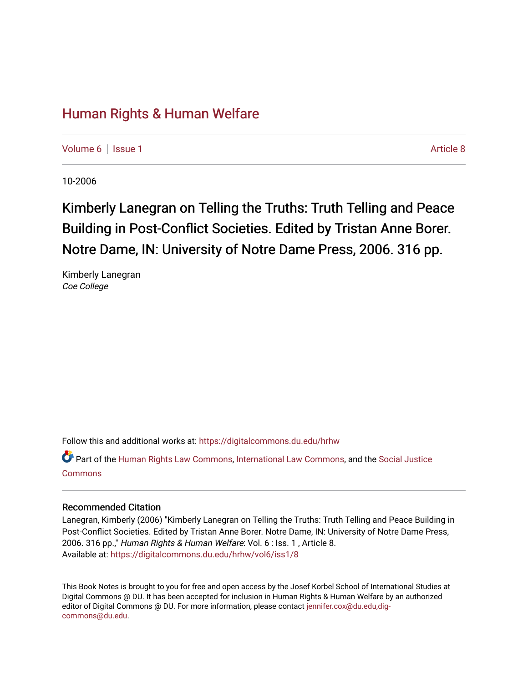## [Human Rights & Human Welfare](https://digitalcommons.du.edu/hrhw)

[Volume 6](https://digitalcommons.du.edu/hrhw/vol6) | [Issue 1](https://digitalcommons.du.edu/hrhw/vol6/iss1) Article 8

10-2006

## Kimberly Lanegran on Telling the Truths: Truth Telling and Peace Building in Post-Conflict Societies. Edited by Tristan Anne Borer. Notre Dame, IN: University of Notre Dame Press, 2006. 316 pp.

Kimberly Lanegran Coe College

Follow this and additional works at: [https://digitalcommons.du.edu/hrhw](https://digitalcommons.du.edu/hrhw?utm_source=digitalcommons.du.edu%2Fhrhw%2Fvol6%2Fiss1%2F8&utm_medium=PDF&utm_campaign=PDFCoverPages)

Part of the [Human Rights Law Commons,](http://network.bepress.com/hgg/discipline/847?utm_source=digitalcommons.du.edu%2Fhrhw%2Fvol6%2Fiss1%2F8&utm_medium=PDF&utm_campaign=PDFCoverPages) [International Law Commons](http://network.bepress.com/hgg/discipline/609?utm_source=digitalcommons.du.edu%2Fhrhw%2Fvol6%2Fiss1%2F8&utm_medium=PDF&utm_campaign=PDFCoverPages), and the [Social Justice](http://network.bepress.com/hgg/discipline/1432?utm_source=digitalcommons.du.edu%2Fhrhw%2Fvol6%2Fiss1%2F8&utm_medium=PDF&utm_campaign=PDFCoverPages) [Commons](http://network.bepress.com/hgg/discipline/1432?utm_source=digitalcommons.du.edu%2Fhrhw%2Fvol6%2Fiss1%2F8&utm_medium=PDF&utm_campaign=PDFCoverPages)

## Recommended Citation

Lanegran, Kimberly (2006) "Kimberly Lanegran on Telling the Truths: Truth Telling and Peace Building in Post-Conflict Societies. Edited by Tristan Anne Borer. Notre Dame, IN: University of Notre Dame Press, 2006. 316 pp.," Human Rights & Human Welfare: Vol. 6 : Iss. 1 , Article 8. Available at: [https://digitalcommons.du.edu/hrhw/vol6/iss1/8](https://digitalcommons.du.edu/hrhw/vol6/iss1/8?utm_source=digitalcommons.du.edu%2Fhrhw%2Fvol6%2Fiss1%2F8&utm_medium=PDF&utm_campaign=PDFCoverPages)

This Book Notes is brought to you for free and open access by the Josef Korbel School of International Studies at Digital Commons @ DU. It has been accepted for inclusion in Human Rights & Human Welfare by an authorized editor of Digital Commons @ DU. For more information, please contact [jennifer.cox@du.edu,dig](mailto:jennifer.cox@du.edu,dig-commons@du.edu)[commons@du.edu.](mailto:jennifer.cox@du.edu,dig-commons@du.edu)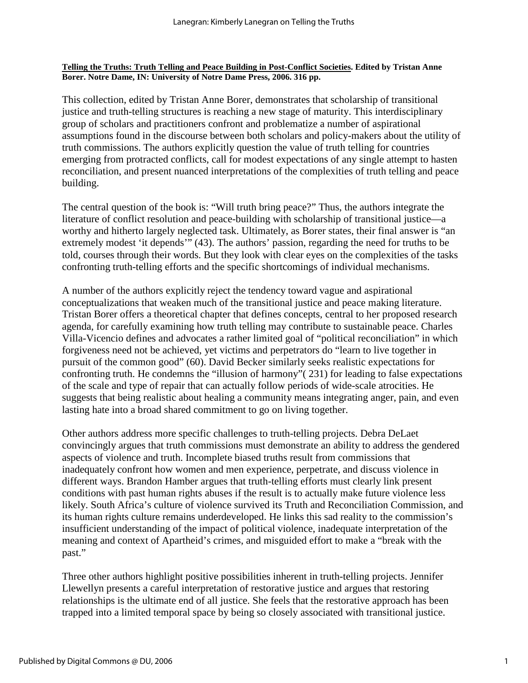## **Telling the Truths: Truth Telling and Peace Building in Post-Conflict Societies. Edited by Tristan Anne Borer. Notre Dame, IN: University of Notre Dame Press, 2006. 316 pp.**

This collection, edited by Tristan Anne Borer, demonstrates that scholarship of transitional justice and truth-telling structures is reaching a new stage of maturity. This interdisciplinary group of scholars and practitioners confront and problematize a number of aspirational assumptions found in the discourse between both scholars and policy-makers about the utility of truth commissions. The authors explicitly question the value of truth telling for countries emerging from protracted conflicts, call for modest expectations of any single attempt to hasten reconciliation, and present nuanced interpretations of the complexities of truth telling and peace building.

The central question of the book is: "Will truth bring peace?" Thus, the authors integrate the literature of conflict resolution and peace-building with scholarship of transitional justice—a worthy and hitherto largely neglected task. Ultimately, as Borer states, their final answer is "an extremely modest 'it depends'" (43). The authors' passion, regarding the need for truths to be told, courses through their words. But they look with clear eyes on the complexities of the tasks confronting truth-telling efforts and the specific shortcomings of individual mechanisms.

A number of the authors explicitly reject the tendency toward vague and aspirational conceptualizations that weaken much of the transitional justice and peace making literature. Tristan Borer offers a theoretical chapter that defines concepts, central to her proposed research agenda, for carefully examining how truth telling may contribute to sustainable peace. Charles Villa-Vicencio defines and advocates a rather limited goal of "political reconciliation" in which forgiveness need not be achieved, yet victims and perpetrators do "learn to live together in pursuit of the common good" (60). David Becker similarly seeks realistic expectations for confronting truth. He condemns the "illusion of harmony"( 231) for leading to false expectations of the scale and type of repair that can actually follow periods of wide-scale atrocities. He suggests that being realistic about healing a community means integrating anger, pain, and even lasting hate into a broad shared commitment to go on living together.

Other authors address more specific challenges to truth-telling projects. Debra DeLaet convincingly argues that truth commissions must demonstrate an ability to address the gendered aspects of violence and truth. Incomplete biased truths result from commissions that inadequately confront how women and men experience, perpetrate, and discuss violence in different ways. Brandon Hamber argues that truth-telling efforts must clearly link present conditions with past human rights abuses if the result is to actually make future violence less likely. South Africa's culture of violence survived its Truth and Reconciliation Commission, and its human rights culture remains underdeveloped. He links this sad reality to the commission's insufficient understanding of the impact of political violence, inadequate interpretation of the meaning and context of Apartheid's crimes, and misguided effort to make a "break with the past."

Three other authors highlight positive possibilities inherent in truth-telling projects. Jennifer Llewellyn presents a careful interpretation of restorative justice and argues that restoring relationships is the ultimate end of all justice. She feels that the restorative approach has been trapped into a limited temporal space by being so closely associated with transitional justice.